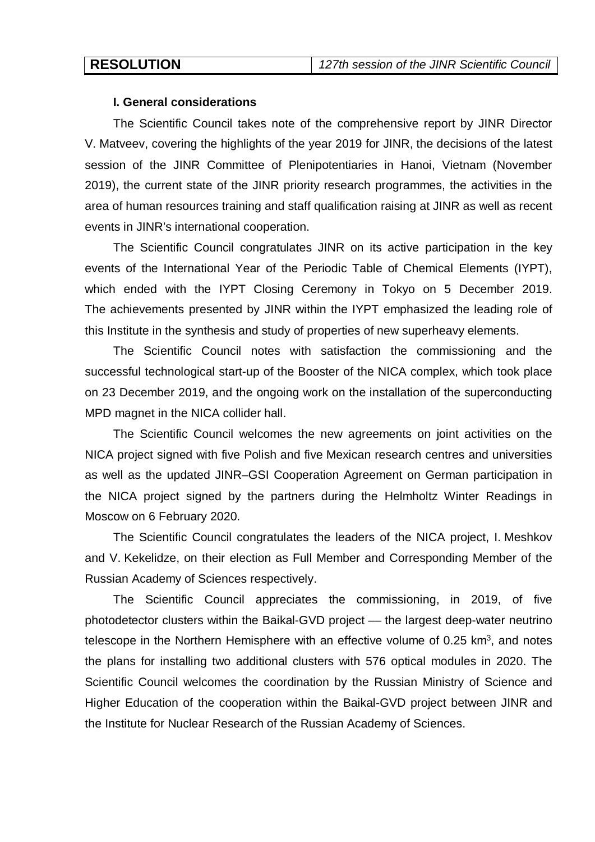# **I. General considerations**

The Scientific Council takes note of the comprehensive report by JINR Director V. Matveev, covering the highlights of the year 2019 for JINR, the decisions of the latest session of the JINR Committee of Plenipotentiaries in Hanoi, Vietnam (November 2019), the current state of the JINR priority research programmes, the activities in the area of human resources training and staff qualification raising at JINR as well as recent events in JINR's international cooperation.

The Scientific Council congratulates JINR on its active participation in the key events of the International Year of the Periodic Table of Chemical Elements (IYPT), which ended with the IYPT Closing Ceremony in Tokyo on 5 December 2019. The achievements presented by JINR within the IYPT emphasized the leading role of this Institute in the synthesis and study of properties of new superheavy elements.

The Scientific Council notes with satisfaction the commissioning and the successful technological start-up of the Booster of the NICA complex, which took place on 23 December 2019, and the ongoing work on the installation of the superconducting MPD magnet in the NICA collider hall.

The Scientific Council welcomes the new agreements on joint activities on the NICA project signed with five Polish and five Mexican research centres and universities as well as the updated JINR–GSI Cooperation Agreement on German participation in the NICA project signed by the partners during the Helmholtz Winter Readings in Moscow on 6 February 2020.

The Scientific Council congratulates the leaders of the NICA project, I. Meshkov and V. Kekelidze, on their election as Full Member and Corresponding Member of the Russian Academy of Sciences respectively.

The Scientific Council appreciates the commissioning, in 2019, of five photodetector clusters within the Baikal-GVD project –– the largest deep-water neutrino telescope in the Northern Hemisphere with an effective volume of 0.25  $km<sup>3</sup>$ , and notes the plans for installing two additional clusters with 576 optical modules in 2020. The Scientific Council welcomes the coordination by the Russian Ministry of Science and Higher Education of the cooperation within the Baikal-GVD project between JINR and the Institute for Nuclear Research of the Russian Academy of Sciences.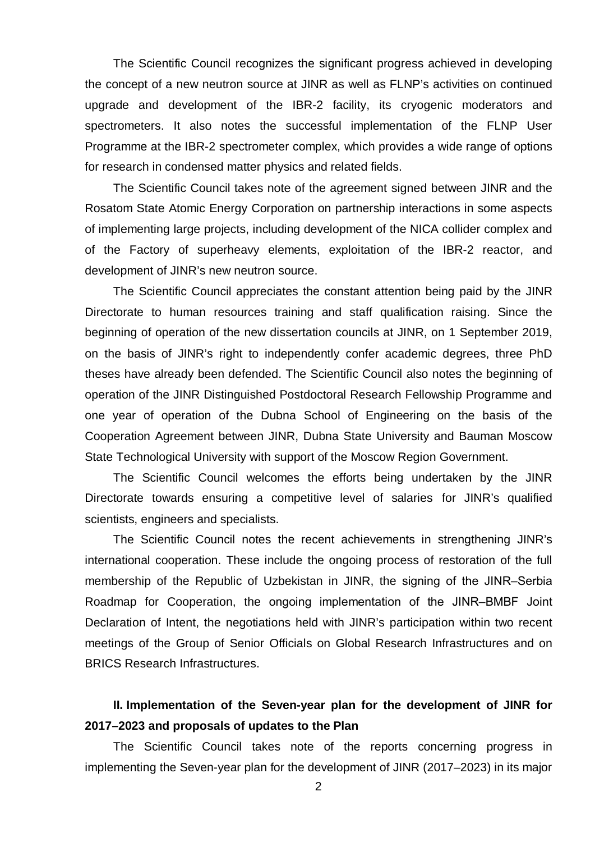The Scientific Council recognizes the significant progress achieved in developing the concept of a new neutron source at JINR as well as FLNP's activities on continued upgrade and development of the IBR-2 facility, its cryogenic moderators and spectrometers. It also notes the successful implementation of the FLNP User Programme at the IBR-2 spectrometer complex, which provides a wide range of options for research in condensed matter physics and related fields.

The Scientific Council takes note of the agreement signed between JINR and the Rosatom State Atomic Energy Corporation on partnership interactions in some aspects of implementing large projects, including development of the NICA collider complex and of the Factory of superheavy elements, exploitation of the IBR-2 reactor, and development of JINR's new neutron source.

The Scientific Council appreciates the constant attention being paid by the JINR Directorate to human resources training and staff qualification raising. Since the beginning of operation of the new dissertation councils at JINR, on 1 September 2019, on the basis of JINR's right to independently confer academic degrees, three PhD theses have already been defended. The Scientific Council also notes the beginning of operation of the JINR Distinguished Postdoctoral Research Fellowship Programme and one year of operation of the Dubna School of Engineering on the basis of the Cooperation Agreement between JINR, Dubna State University and Bauman Moscow State Technological University with support of the Moscow Region Government.

The Scientific Council welcomes the efforts being undertaken by the JINR Directorate towards ensuring a competitive level of salaries for JINR's qualified scientists, engineers and specialists.

The Scientific Council notes the recent achievements in strengthening JINR's international cooperation. These include the ongoing process of restoration of the full membership of the Republic of Uzbekistan in JINR, the signing of the JINR–Serbia Roadmap for Cooperation, the ongoing implementation of the JINR-BMBF Joint Declaration of Intent, the negotiations held with JINR's participation within two recent meetings of the Group of Senior Officials on Global Research Infrastructures and on BRICS Research Infrastructures.

# **II. Implementation of the Seven-year plan for the development of JINR for 2017–2023 and proposals of updates to the Plan**

The Scientific Council takes note of the reports concerning progress in implementing the Seven-year plan for the development of JINR (2017–2023) in its major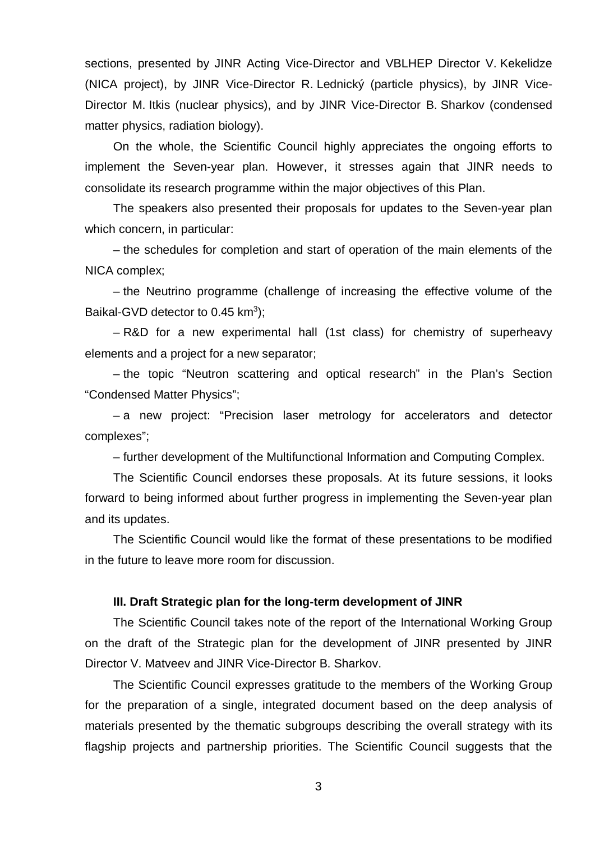sections, presented by JINR Acting Vice-Director and VBLHEP Director V. Kekelidze (NICA project), by JINR Vice-Director R. Lednický (particle physics), by JINR Vice-Director M. Itkis (nuclear physics), and by JINR Vice-Director B. Sharkov (condensed matter physics, radiation biology).

On the whole, the Scientific Council highly appreciates the ongoing efforts to implement the Seven-year plan. However, it stresses again that JINR needs to consolidate its research programme within the major objectives of this Plan.

The speakers also presented their proposals for updates to the Seven-year plan which concern, in particular:

– the schedules for completion and start of operation of the main elements of the NICA complex;

– the Neutrino programme (challenge of increasing the effective volume of the Baikal-GVD detector to  $0.45$  km<sup>3</sup>);

– R&D for a new experimental hall (1st class) for chemistry of superheavy elements and a project for a new separator;

– the topic "Neutron scattering and optical research" in the Plan's Section "Condensed Matter Physics";

– a new project: "Precision laser metrology for accelerators and detector complexes";

– further development of the Multifunctional Information and Computing Complex.

The Scientific Council endorses these proposals. At its future sessions, it looks forward to being informed about further progress in implementing the Seven-year plan and its updates.

The Scientific Council would like the format of these presentations to be modified in the future to leave more room for discussion.

### **III. Draft Strategic plan for the long-term development of JINR**

The Scientific Council takes note of the report of the International Working Group on the draft of the Strategic plan for the development of JINR presented by JINR Director V. Matveev and JINR Vice-Director B. Sharkov.

The Scientific Council expresses gratitude to the members of the Working Group for the preparation of a single, integrated document based on the deep analysis of materials presented by the thematic subgroups describing the overall strategy with its flagship projects and partnership priorities. The Scientific Council suggests that the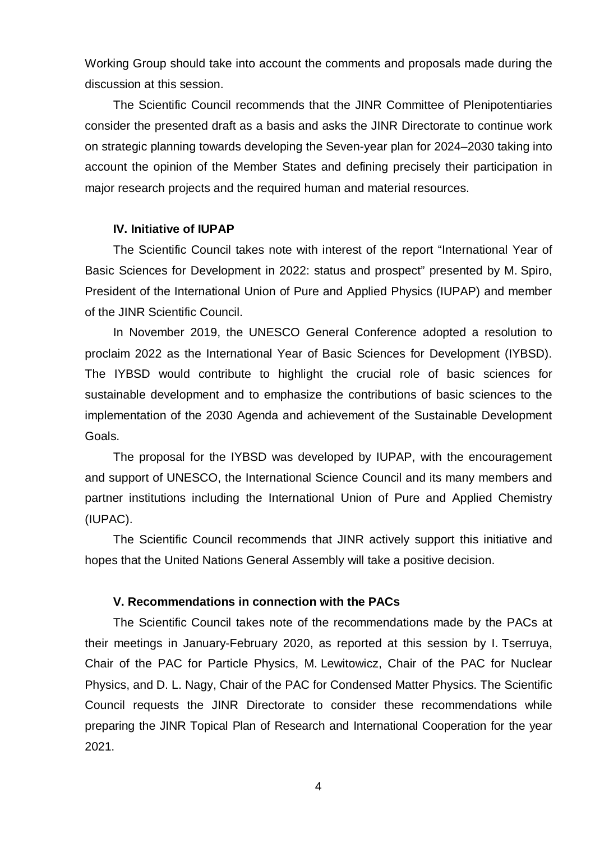Working Group should take into account the comments and proposals made during the discussion at this session.

The Scientific Council recommends that the JINR Committee of Plenipotentiaries consider the presented draft as a basis and asks the JINR Directorate to continue work on strategic planning towards developing the Seven-year plan for 2024–2030 taking into account the opinion of the Member States and defining precisely their participation in major research projects and the required human and material resources.

# **IV. Initiative of IUPAP**

The Scientific Council takes note with interest of the report "International Year of Basic Sciences for Development in 2022: status and prospect" presented by M. Spiro, President of the International Union of Pure and Applied Physics (IUPAP) and member of the JINR Scientific Council.

In November 2019, the UNESCO General Conference adopted a resolution to proclaim 2022 as the International Year of Basic Sciences for Development (IYBSD). The IYBSD would contribute to highlight the crucial role of basic sciences for sustainable development and to emphasize the contributions of basic sciences to the implementation of the 2030 Agenda and achievement of the Sustainable Development Goals.

The proposal for the IYBSD was developed by IUPAP, with the encouragement and support of UNESCO, the International Science Council and its many members and partner institutions including the International Union of Pure and Applied Chemistry (IUPAC).

The Scientific Council recommends that JINR actively support this initiative and hopes that the United Nations General Assembly will take a positive decision.

# **V. Recommendations in connection with the PACs**

The Scientific Council takes note of the recommendations made by the PACs at their meetings in January-February 2020, as reported at this session by I. Tserruya, Chair of the PAC for Particle Physics, M. Lewitowicz, Chair of the PAC for Nuclear Physics, and D. L. Nagy, Chair of the PAC for Condensed Matter Physics. The Scientific Council requests the JINR Directorate to consider these recommendations while preparing the JINR Topical Plan of Research and International Cooperation for the year 2021.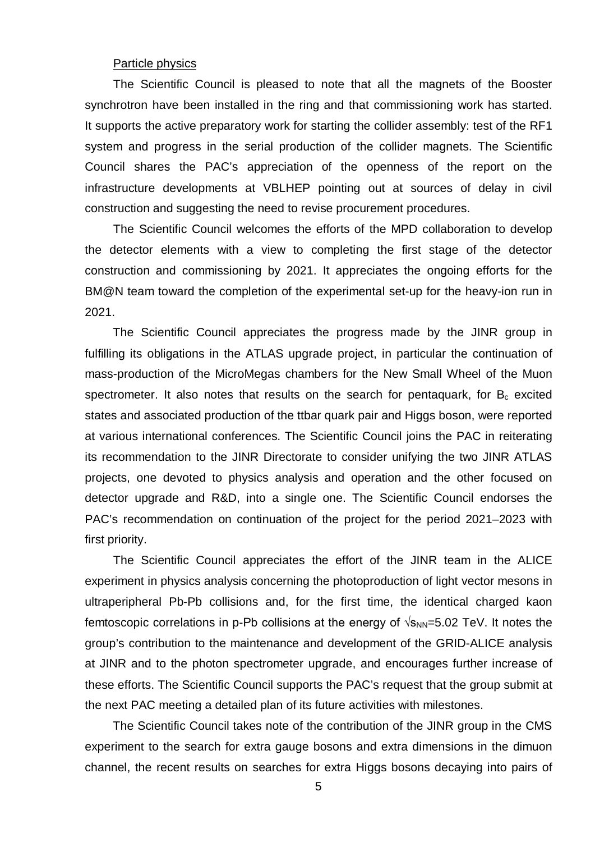#### Particle physics

The Scientific Council is pleased to note that all the magnets of the Booster synchrotron have been installed in the ring and that commissioning work has started. It supports the active preparatory work for starting the collider assembly: test of the RF1 system and progress in the serial production of the collider magnets. The Scientific Council shares the PAC's appreciation of the openness of the report on the infrastructure developments at VBLHEP pointing out at sources of delay in civil construction and suggesting the need to revise procurement procedures.

The Scientific Council welcomes the efforts of the MPD collaboration to develop the detector elements with a view to completing the first stage of the detector construction and commissioning by 2021. It appreciates the ongoing efforts for the BM@N team toward the completion of the experimental set-up for the heavy-ion run in 2021.

The Scientific Council appreciates the progress made by the JINR group in fulfilling its obligations in the ATLAS upgrade project, in particular the continuation of mass-production of the MicroMegas chambers for the New Small Wheel of the Muon spectrometer. It also notes that results on the search for pentaquark, for  $B_c$  excited states and associated production of the ttbar quark pair and Higgs boson, were reported at various international conferences. The Scientific Council joins the PAC in reiterating its recommendation to the JINR Directorate to consider unifying the two JINR ATLAS projects, one devoted to physics analysis and operation and the other focused on detector upgrade and R&D, into a single one. The Scientific Council endorses the PAC's recommendation on continuation of the project for the period 2021–2023 with first priority.

The Scientific Council appreciates the effort of the JINR team in the ALICE experiment in physics analysis concerning the photoproduction of light vector mesons in ultraperipheral Pb-Pb collisions and, for the first time, the identical charged kaon femtoscopic correlations in p-Pb collisions at the energy of  $\sqrt{s_{NN}}$ =5.02 TeV. It notes the group's contribution to the maintenance and development of the GRID-ALICE analysis at JINR and to the photon spectrometer upgrade, and encourages further increase of these efforts. The Scientific Council supports the PAC's request that the group submit at the next PAC meeting a detailed plan of its future activities with milestones.

The Scientific Council takes note of the contribution of the JINR group in the CMS experiment to the search for extra gauge bosons and extra dimensions in the dimuon channel, the recent results on searches for extra Higgs bosons decaying into pairs of

5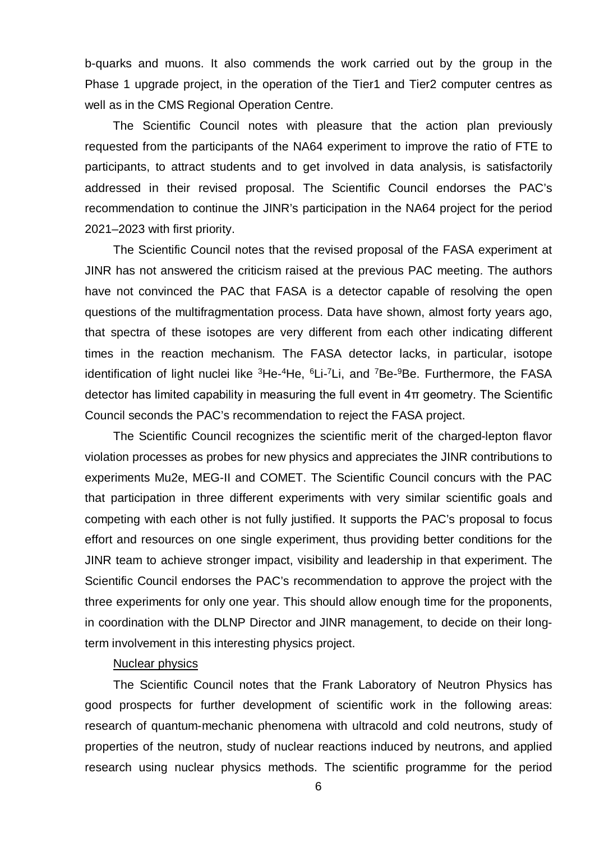b-quarks and muons. It also commends the work carried out by the group in the Phase 1 upgrade project, in the operation of the Tier1 and Tier2 computer centres as well as in the CMS Regional Operation Centre.

The Scientific Council notes with pleasure that the action plan previously requested from the participants of the NA64 experiment to improve the ratio of FTE to participants, to attract students and to get involved in data analysis, is satisfactorily addressed in their revised proposal. The Scientific Council endorses the PAC's recommendation to continue the JINR's participation in the NA64 project for the period 2021–2023 with first priority.

The Scientific Council notes that the revised proposal of the FASA experiment at JINR has not answered the criticism raised at the previous PAC meeting. The authors have not convinced the PAC that FASA is a detector capable of resolving the open questions of the multifragmentation process. Data have shown, almost forty years ago, that spectra of these isotopes are very different from each other indicating different times in the reaction mechanism. The FASA detector lacks, in particular, isotope identification of light nuclei like <sup>3</sup>He-<sup>4</sup>He, <sup>6</sup>Li-<sup>7</sup>Li, and <sup>7</sup>Be-<sup>9</sup>Be. Furthermore, the FASA detector has limited capability in measuring the full event in 4π geometry. The Scientific Council seconds the PAC's recommendation to reject the FASA project.

The Scientific Council recognizes the scientific merit of the charged-lepton flavor violation processes as probes for new physics and appreciates the JINR contributions to experiments Mu2e, MEG-II and COMET. The Scientific Council concurs with the PAC that participation in three different experiments with very similar scientific goals and competing with each other is not fully justified. It supports the PAC's proposal to focus effort and resources on one single experiment, thus providing better conditions for the JINR team to achieve stronger impact, visibility and leadership in that experiment. The Scientific Council endorses the PAC's recommendation to approve the project with the three experiments for only one year. This should allow enough time for the proponents, in coordination with the DLNP Director and JINR management, to decide on their longterm involvement in this interesting physics project.

# Nuclear physics

The Scientific Council notes that the Frank Laboratory of Neutron Physics has good prospects for further development of scientific work in the following areas: research of quantum-mechanic phenomena with ultracold and cold neutrons, study of properties of the neutron, study of nuclear reactions induced by neutrons, and applied research using nuclear physics methods. The scientific programme for the period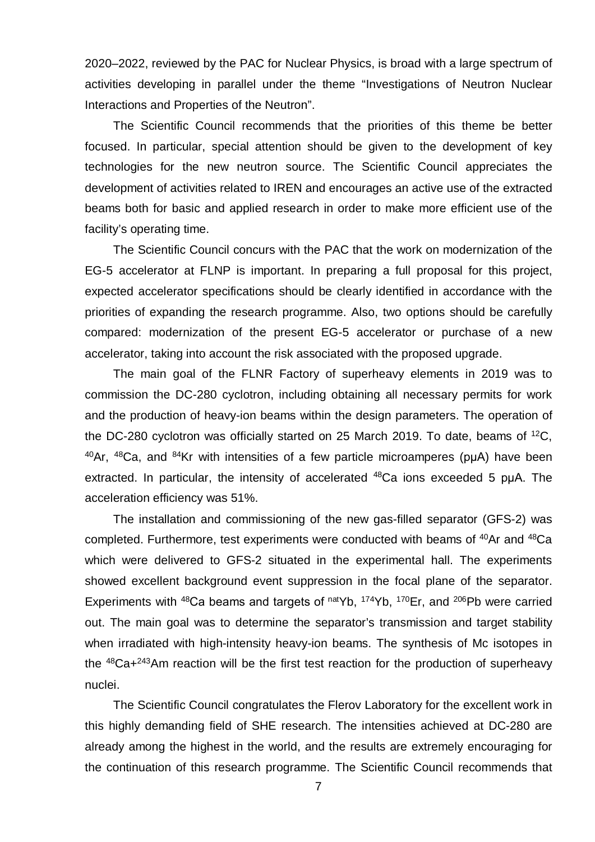2020–2022, reviewed by the PAC for Nuclear Physics, is broad with a large spectrum of activities developing in parallel under the theme "Investigations of Neutron Nuclear Interactions and Properties of the Neutron".

The Scientific Council recommends that the priorities of this theme be better focused. In particular, special attention should be given to the development of key technologies for the new neutron source. The Scientific Council appreciates the development of activities related to IREN and encourages an active use of the extracted beams both for basic and applied research in order to make more efficient use of the facility's operating time.

The Scientific Council concurs with the PAC that the work on modernization of the EG-5 accelerator at FLNP is important. In preparing a full proposal for this project, expected accelerator specifications should be clearly identified in accordance with the priorities of expanding the research programme. Also, two options should be carefully compared: modernization of the present EG-5 accelerator or purchase of a new accelerator, taking into account the risk associated with the proposed upgrade.

The main goal of the FLNR Factory of superheavy elements in 2019 was to commission the DC-280 cyclotron, including obtaining all necessary permits for work and the production of heavy-ion beams within the design parameters. The operation of the DC-280 cyclotron was officially started on 25 March 2019. To date, beams of  ${}^{12}C$ ,  $40$ Ar,  $48$ Ca, and  $84$ Kr with intensities of a few particle microamperes (puA) have been extracted. In particular, the intensity of accelerated <sup>48</sup>Ca ions exceeded 5 puA. The acceleration efficiency was 51%.

The installation and commissioning of the new gas-filled separator (GFS-2) was completed. Furthermore, test experiments were conducted with beams of <sup>40</sup>Ar and <sup>48</sup>Ca which were delivered to GFS-2 situated in the experimental hall. The experiments showed excellent background event suppression in the focal plane of the separator. Experiments with  $48$ Ca beams and targets of  $naty$ <sup>174</sup>Yb,  $170$ Er, and  $206$ Pb were carried out. The main goal was to determine the separator's transmission and target stability when irradiated with high-intensity heavy-ion beams. The synthesis of Mc isotopes in the  $48$ Ca+ $243$ Am reaction will be the first test reaction for the production of superheavy nuclei.

The Scientific Council congratulates the Flerov Laboratory for the excellent work in this highly demanding field of SHE research. The intensities achieved at DC-280 are already among the highest in the world, and the results are extremely encouraging for the continuation of this research programme. The Scientific Council recommends that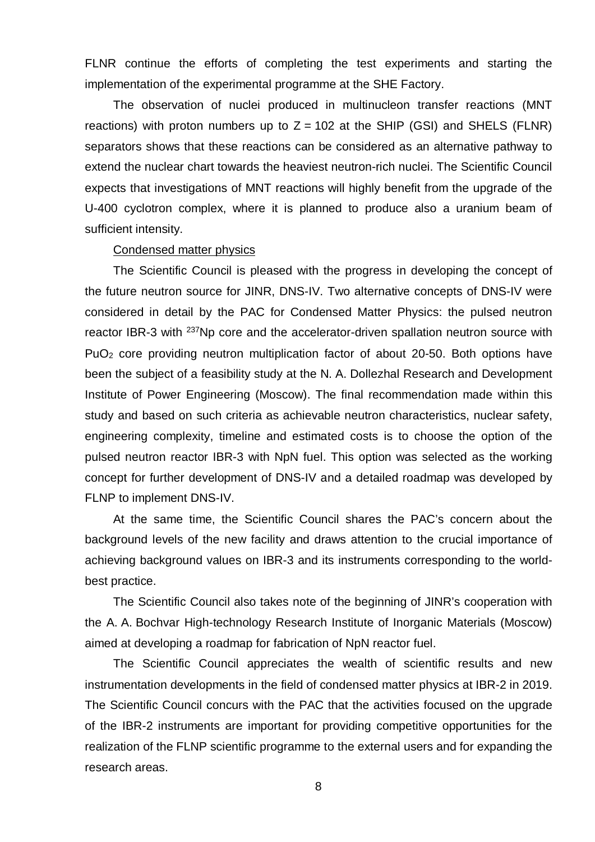FLNR continue the efforts of completing the test experiments and starting the implementation of the experimental programme at the SHE Factory.

The observation of nuclei produced in multinucleon transfer reactions (MNT reactions) with proton numbers up to  $Z = 102$  at the SHIP (GSI) and SHELS (FLNR) separators shows that these reactions can be considered as an alternative pathway to extend the nuclear chart towards the heaviest neutron-rich nuclei. The Scientific Council expects that investigations of MNT reactions will highly benefit from the upgrade of the U-400 cyclotron complex, where it is planned to produce also a uranium beam of sufficient intensity.

#### Condensed matter physics

The Scientific Council is pleased with the progress in developing the concept of the future neutron source for JINR, DNS-IV. Two alternative concepts of DNS-IV were considered in detail by the PAC for Condensed Matter Physics: the pulsed neutron reactor IBR-3 with <sup>237</sup>Np core and the accelerator-driven spallation neutron source with  $PuO<sub>2</sub>$  core providing neutron multiplication factor of about 20-50. Both options have been the subject of a feasibility study at the N. A. Dollezhal Research and Development Institute of Power Engineering (Moscow). The final recommendation made within this study and based on such criteria as achievable neutron characteristics, nuclear safety, engineering complexity, timeline and estimated costs is to choose the option of the pulsed neutron reactor IBR-3 with NpN fuel. This option was selected as the working concept for further development of DNS-IV and a detailed roadmap was developed by FLNP to implement DNS-IV.

At the same time, the Scientific Council shares the PAC's concern about the background levels of the new facility and draws attention to the crucial importance of achieving background values on IBR-3 and its instruments corresponding to the worldbest practice.

The Scientific Council also takes note of the beginning of JINR's cooperation with the A. A. Bochvar High-technology Research Institute of Inorganic Materials (Moscow) aimed at developing a roadmap for fabrication of NpN reactor fuel.

The Scientific Council appreciates the wealth of scientific results and new instrumentation developments in the field of condensed matter physics at IBR-2 in 2019. The Scientific Council concurs with the PAC that the activities focused on the upgrade of the IBR-2 instruments are important for providing competitive opportunities for the realization of the FLNP scientific programme to the external users and for expanding the research areas.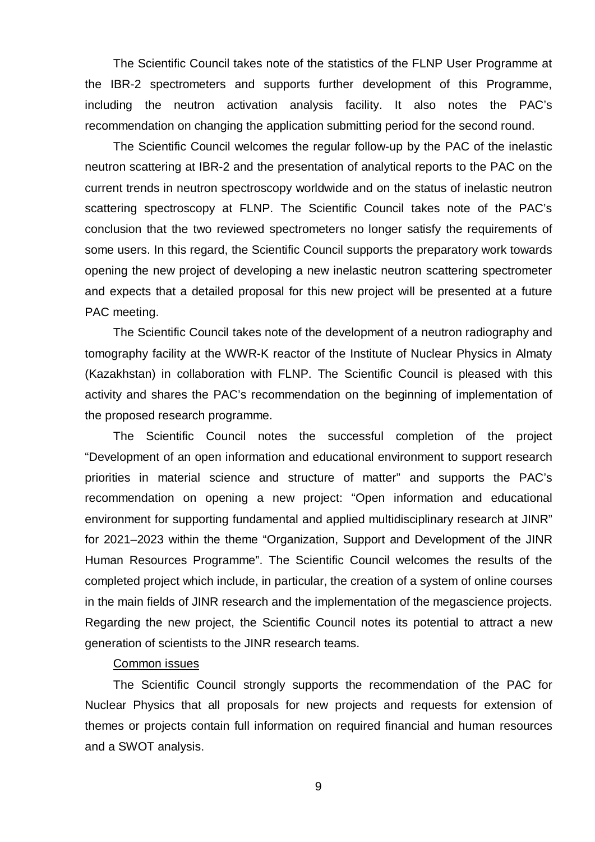The Scientific Council takes note of the statistics of the FLNP User Programme at the IBR-2 spectrometers and supports further development of this Programme, including the neutron activation analysis facility. It also notes the PAC's recommendation on changing the application submitting period for the second round.

The Scientific Council welcomes the regular follow-up by the PAC of the inelastic neutron scattering at IBR-2 and the presentation of analytical reports to the PAC on the current trends in neutron spectroscopy worldwide and on the status of inelastic neutron scattering spectroscopy at FLNP. The Scientific Council takes note of the PAC's conclusion that the two reviewed spectrometers no longer satisfy the requirements of some users. In this regard, the Scientific Council supports the preparatory work towards opening the new project of developing a new inelastic neutron scattering spectrometer and expects that a detailed proposal for this new project will be presented at a future PAC meeting.

The Scientific Council takes note of the development of a neutron radiography and tomography facility at the WWR-K reactor of the Institute of Nuclear Physics in Almaty (Kazakhstan) in collaboration with FLNP. The Scientific Council is pleased with this activity and shares the PAC's recommendation on the beginning of implementation of the proposed research programme.

The Scientific Council notes the successful completion of the project "Development of an open information and educational environment to support research priorities in material science and structure of matter" and supports the PAC's recommendation on opening a new project: "Open information and educational environment for supporting fundamental and applied multidisciplinary research at JINR" for 2021–2023 within the theme "Organization, Support and Development of the JINR Human Resources Programme". The Scientific Council welcomes the results of the completed project which include, in particular, the creation of a system of online courses in the main fields of JINR research and the implementation of the megascience projects. Regarding the new project, the Scientific Council notes its potential to attract a new generation of scientists to the JINR research teams.

# Common issues

The Scientific Council strongly supports the recommendation of the PAC for Nuclear Physics that all proposals for new projects and requests for extension of themes or projects contain full information on required financial and human resources and a SWOT analysis.

9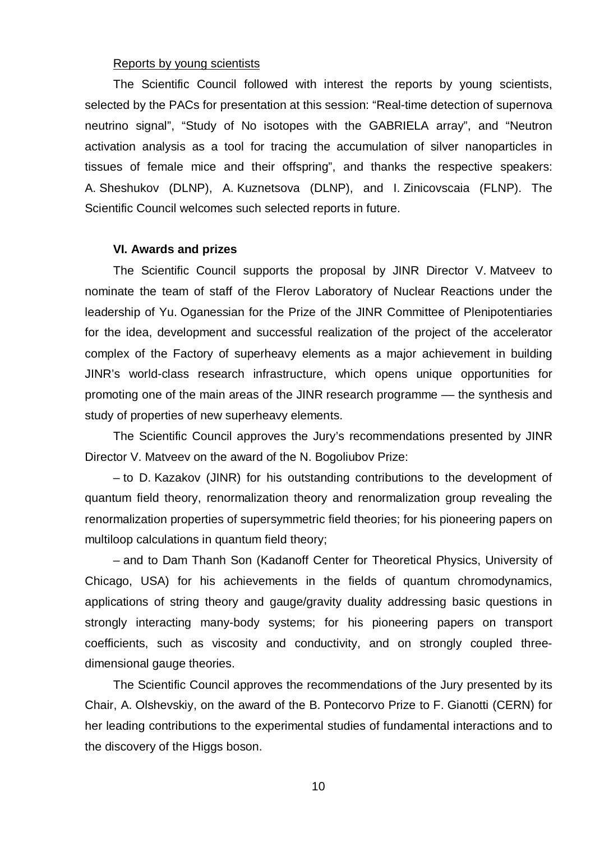#### Reports by young scientists

The Scientific Council followed with interest the reports by young scientists, selected by the PACs for presentation at this session: "Real-time detection of supernova neutrino signal", "Study of No isotopes with the GABRIELA array", and "Neutron activation analysis as a tool for tracing the accumulation of silver nanoparticles in tissues of female mice and their offspring", and thanks the respective speakers: A. Sheshukov (DLNP), A. Kuznetsova (DLNP), and I. Zinicovscaia (FLNP). The Scientific Council welcomes such selected reports in future.

#### **VI. Awards and prizes**

The Scientific Council supports the proposal by JINR Director V. Matveev to nominate the team of staff of the Flerov Laboratory of Nuclear Reactions under the leadership of Yu. Oganessian for the Prize of the JINR Committee of Plenipotentiaries for the idea, development and successful realization of the project of the accelerator complex of the Factory of superheavy elements as a major achievement in building JINR's world-class research infrastructure, which opens unique opportunities for promoting one of the main areas of the JINR research programme –– the synthesis and study of properties of new superheavy elements.

The Scientific Council approves the Jury's recommendations presented by JINR Director V. Matveev on the award of the N. Bogoliubov Prize:

– to D. Kazakov (JINR) for his outstanding contributions to the development of quantum field theory, renormalization theory and renormalization group revealing the renormalization properties of supersymmetric field theories; for his pioneering papers on multiloop calculations in quantum field theory;

– and to Dam Thanh Son (Kadanoff Center for Theoretical Physics, University of Chicago, USA) for his achievements in the fields of quantum chromodynamics, applications of string theory and gauge/gravity duality addressing basic questions in strongly interacting many-body systems; for his pioneering papers on transport coefficients, such as viscosity and conductivity, and on strongly coupled threedimensional gauge theories.

The Scientific Council approves the recommendations of the Jury presented by its Chair, A. Olshevskiy, on the award of the B. Pontecorvo Prize to F. Gianotti (CERN) for her leading contributions to the experimental studies of fundamental interactions and to the discovery of the Higgs boson.

10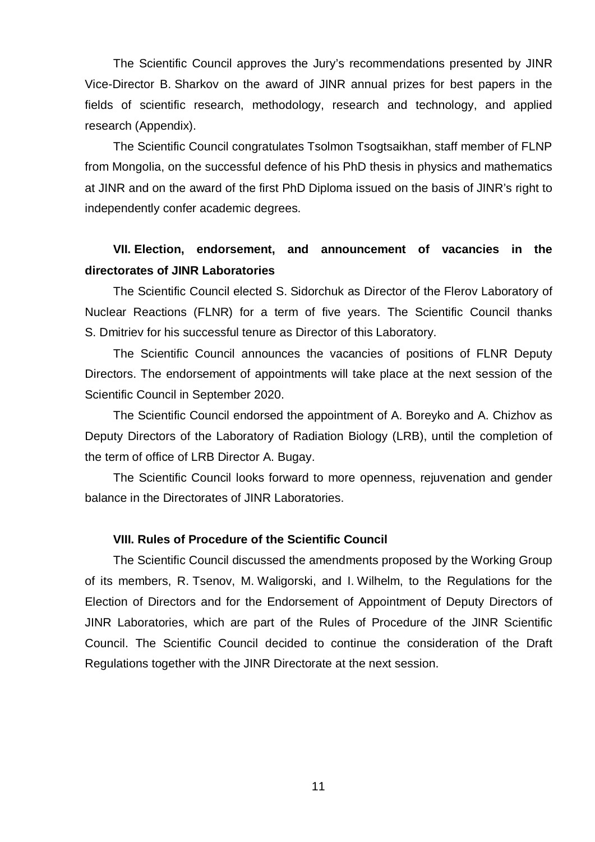The Scientific Council approves the Jury's recommendations presented by JINR Vice-Director B. Sharkov on the award of JINR annual prizes for best papers in the fields of scientific research, methodology, research and technology, and applied research (Appendix).

The Scientific Council congratulates Tsolmon Tsogtsaikhan, staff member of FLNP from Mongolia, on the successful defence of his PhD thesis in physics and mathematics at JINR and on the award of the first PhD Diploma issued on the basis of JINR's right to independently confer academic degrees.

# **VII. Election, endorsement, and announcement of vacancies in the directorates of JINR Laboratories**

The Scientific Council elected S. Sidorchuk as Director of the Flerov Laboratory of Nuclear Reactions (FLNR) for a term of five years. The Scientific Council thanks S. Dmitriev for his successful tenure as Director of this Laboratory.

The Scientific Council announces the vacancies of positions of FLNR Deputy Directors. The endorsement of appointments will take place at the next session of the Scientific Council in September 2020.

The Scientific Council endorsed the appointment of A. Boreyko and A. Chizhov as Deputy Directors of the Laboratory of Radiation Biology (LRB), until the completion of the term of office of LRB Director A. Bugay.

The Scientific Council looks forward to more openness, rejuvenation and gender balance in the Directorates of JINR Laboratories.

# **VIII. Rules of Procedure of the Scientific Council**

The Scientific Council discussed the amendments proposed by the Working Group of its members, R. Tsenov, M. Waligorski, and I. Wilhelm, to the Regulations for the Election of Directors and for the Endorsement of Appointment of Deputy Directors of JINR Laboratories, which are part of the Rules of Procedure of the JINR Scientific Council. The Scientific Council decided to continue the consideration of the Draft Regulations together with the JINR Directorate at the next session.